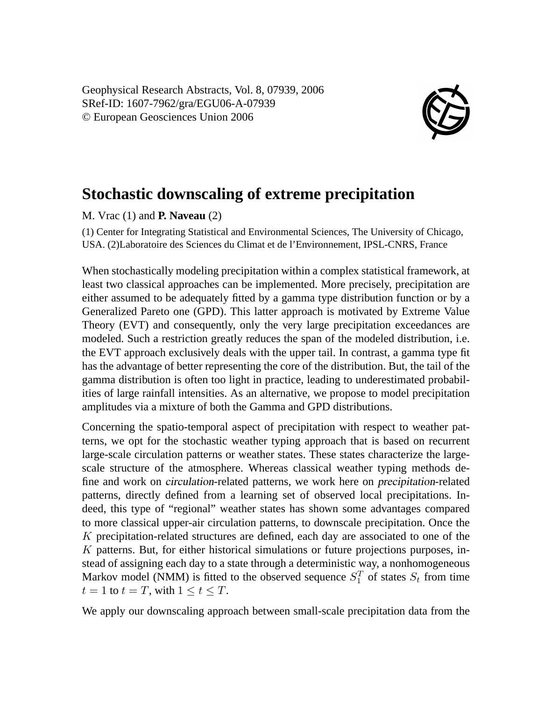Geophysical Research Abstracts, Vol. 8, 07939, 2006 SRef-ID: 1607-7962/gra/EGU06-A-07939 © European Geosciences Union 2006



## **Stochastic downscaling of extreme precipitation**

M. Vrac (1) and **P. Naveau** (2)

(1) Center for Integrating Statistical and Environmental Sciences, The University of Chicago, USA. (2)Laboratoire des Sciences du Climat et de l'Environnement, IPSL-CNRS, France

When stochastically modeling precipitation within a complex statistical framework, at least two classical approaches can be implemented. More precisely, precipitation are either assumed to be adequately fitted by a gamma type distribution function or by a Generalized Pareto one (GPD). This latter approach is motivated by Extreme Value Theory (EVT) and consequently, only the very large precipitation exceedances are modeled. Such a restriction greatly reduces the span of the modeled distribution, i.e. the EVT approach exclusively deals with the upper tail. In contrast, a gamma type fit has the advantage of better representing the core of the distribution. But, the tail of the gamma distribution is often too light in practice, leading to underestimated probabilities of large rainfall intensities. As an alternative, we propose to model precipitation amplitudes via a mixture of both the Gamma and GPD distributions.

Concerning the spatio-temporal aspect of precipitation with respect to weather patterns, we opt for the stochastic weather typing approach that is based on recurrent large-scale circulation patterns or weather states. These states characterize the largescale structure of the atmosphere. Whereas classical weather typing methods define and work on circulation-related patterns, we work here on precipitation-related patterns, directly defined from a learning set of observed local precipitations. Indeed, this type of "regional" weather states has shown some advantages compared to more classical upper-air circulation patterns, to downscale precipitation. Once the K precipitation-related structures are defined, each day are associated to one of the K patterns. But, for either historical simulations or future projections purposes, instead of assigning each day to a state through a deterministic way, a nonhomogeneous Markov model (NMM) is fitted to the observed sequence  $S_1^T$  of states  $S_t$  from time  $t = 1$  to  $t = T$ , with  $1 \le t \le T$ .

We apply our downscaling approach between small-scale precipitation data from the